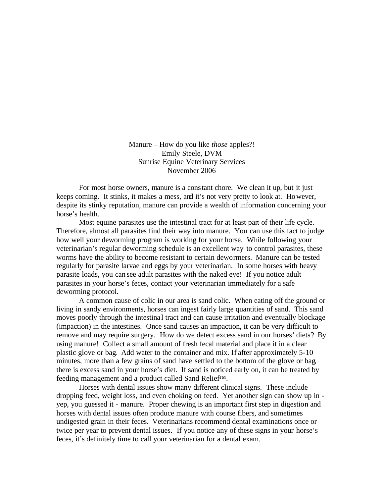Manure – How do you like *those* apples?! Emily Steele, DVM Sunrise Equine Veterinary Services November 2006

For most horse owners, manure is a constant chore. We clean it up, but it just keeps coming. It stinks, it makes a mess, and it's not very pretty to look at. However, despite its stinky reputation, manure can provide a wealth of information concerning your horse's health.

Most equine parasites use the intestinal tract for at least part of their life cycle. Therefore, almost all parasites find their way into manure. You can use this fact to judge how well your deworming program is working for your horse. While following your veterinarian's regular deworming schedule is an excellent way to control parasites, these worms have the ability to become resistant to certain dewormers. Manure can be tested regularly for parasite larvae and eggs by your veterinarian. In some horses with heavy parasite loads, you can see adult parasites with the naked eye! If you notice adult parasites in your horse's feces, contact your veterinarian immediately for a safe deworming protocol.

A common cause of colic in our area is sand colic. When eating off the ground or living in sandy environments, horses can ingest fairly large quantities of sand. This sand moves poorly through the intestinal tract and can cause irritation and eventually blockage (impaction) in the intestines. Once sand causes an impaction, it can be very difficult to remove and may require surgery. How do we detect excess sand in our horses' diets? By using manure! Collect a small amount of fresh fecal material and place it in a clear plastic glove or bag. Add water to the container and mix. If after approximately 5-10 minutes, more than a few grains of sand have settled to the bottom of the glove or bag, there is excess sand in your horse's diet. If sand is noticed early on, it can be treated by feeding management and a product called Sand Relief™.

Horses with dental issues show many different clinical signs. These include dropping feed, weight loss, and even choking on feed. Yet another sign can show up in yep, you guessed it - manure. Proper chewing is an important first step in digestion and horses with dental issues often produce manure with course fibers, and sometimes undigested grain in their feces. Veterinarians recommend dental examinations once or twice per year to prevent dental issues. If you notice any of these signs in your horse's feces, it's definitely time to call your veterinarian for a dental exam.